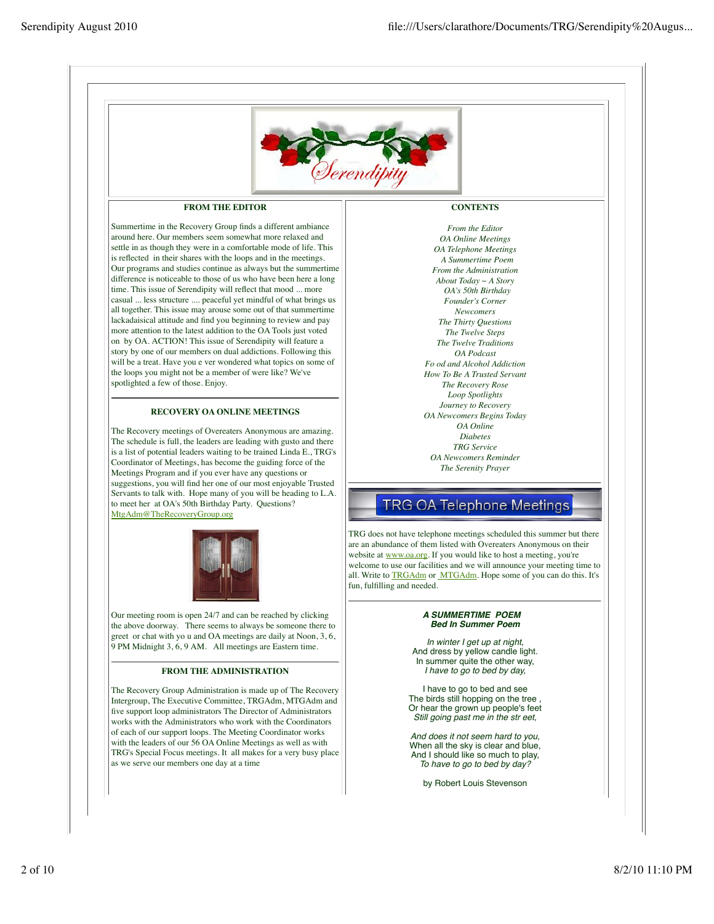

# **FROM THE EDITOR**

Summertime in the Recovery Group finds a different ambiance around here. Our members seem somewhat more relaxed and settle in as though they were in a comfortable mode of life. This is reflected in their shares with the loops and in the meetings. Our programs and studies continue as always but the summertime difference is noticeable to those of us who have been here a long time. This issue of Serendipity will reflect that mood ... more casual ... less structure .... peaceful yet mindful of what brings us all together. This issue may arouse some out of that summertime lackadaisical attitude and find you beginning to review and pay more attention to the latest addition to the OA Tools just voted on by OA. ACTION! This issue of Serendipity will feature a story by one of our members on dual addictions. Following this will be a treat. Have you e ver wondered what topics on some of the loops you might not be a member of were like? We've spotlighted a few of those. Enjoy.

# **RECOVERY OA ONLINE MEETINGS**

The Recovery meetings of Overeaters Anonymous are amazing. The schedule is full, the leaders are leading with gusto and there is a list of potential leaders waiting to be trained Linda E., TRG's Coordinator of Meetings, has become the guiding force of the Meetings Program and if you ever have any questions or suggestions, you will find her one of our most enjoyable Trusted Servants to talk with. Hope many of you will be heading to L.A. to meet her at OA's 50th Birthday Party. Questions? MtgAdm@TheRecoveryGroup.org



Our meeting room is open 24/7 and can be reached by clicking the above doorway. There seems to always be someone there to greet or chat with yo u and OA meetings are daily at Noon, 3, 6, 9 PM Midnight 3, 6, 9 AM. All meetings are Eastern time.

#### **FROM THE ADMINISTRATION**

The Recovery Group Administration is made up of The Recovery Intergroup, The Executive Committee, TRGAdm, MTGAdm and five support loop administrators The Director of Administrators works with the Administrators who work with the Coordinators of each of our support loops. The Meeting Coordinator works with the leaders of our 56 OA Online Meetings as well as with TRG's Special Focus meetings. It all makes for a very busy place as we serve our members one day at a time

# **CONTENTS**

*From the Editor OA Online Meetings OA Telephone Meetings A Summertime Poem From the Administration About Today ~ A Story OA's 50th Birthday Founder's Corner Newcomers The Thirty Questions The Twelve Steps The Twelve Traditions OA Podcast Fo od and Alcohol Addiction How To Be A Trusted Servant The Recovery Rose Loop Spotlights Journey to Recovery OA Newcomers Begins Today OA Online Diabetes TRG Service OA Newcomers Reminder The Serenity Prayer*

# **TRG OA Telephone Meetings**

TRG does not have telephone meetings scheduled this summer but there are an abundance of them listed with Overeaters Anonymous on their website at www.oa.org. If you would like to host a meeting, you're welcome to use our facilities and we will announce your meeting time to all. Write to **TRGAdm** or **MTGAdm**. Hope some of you can do this. It's fun, fulfilling and needed.

#### *A SUMMERTIME POEM Bed In Summer Poem*

*In winter I get up at night,* And dress by yellow candle light. In summer quite the other way, *I have to go to bed by day,*

I have to go to bed and see The birds still hopping on the tree , Or hear the grown up people's feet *Still going past me in the str eet,*

*And does it not seem hard to you,* When all the sky is clear and blue, And I should like so much to play, *To have to go to bed by day?*

by Robert Louis Stevenson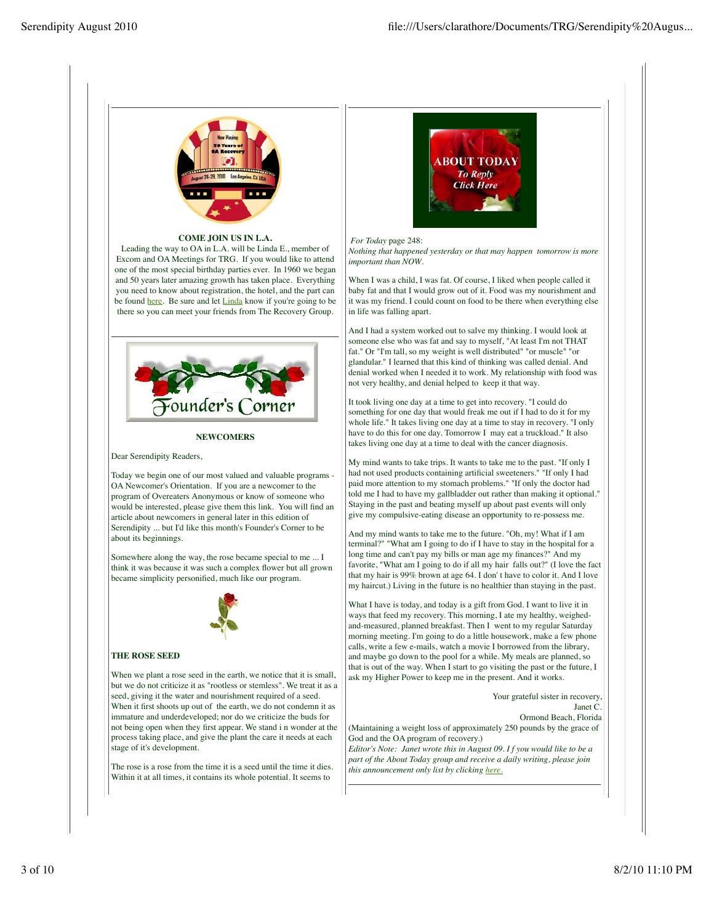

### **COME JOIN US IN L.A.**

Leading the way to OA in L.A. will be Linda E., member of Excom and OA Meetings for TRG. If you would like to attend one of the most special birthday parties ever. In 1960 we began and 50 years later amazing growth has taken place. Everything you need to know about registration, the hotel, and the part can be found here. Be sure and let Linda know if you're going to be there so you can meet your friends from The Recovery Group.



# **NEWCOMERS**

Dear Serendipity Readers,

Today we begin one of our most valued and valuable programs - OA Newcomer's Orientation. If you are a newcomer to the program of Overeaters Anonymous or know of someone who would be interested, please give them this link. You will find an article about newcomers in general later in this edition of Serendipity ... but I'd like this month's Founder's Corner to be about its beginnings.

Somewhere along the way, the rose became special to me ... I think it was because it was such a complex flower but all grown became simplicity personified, much like our program.



# **THE ROSE SEED**

When we plant a rose seed in the earth, we notice that it is small, but we do not criticize it as "rootless or stemless". We treat it as a seed, giving it the water and nourishment required of a seed. When it first shoots up out of the earth, we do not condemn it as immature and underdeveloped; nor do we criticize the buds for not being open when they first appear. We stand i n wonder at the process taking place, and give the plant the care it needs at each stage of it's development.

The rose is a rose from the time it is a seed until the time it dies. Within it at all times, it contains its whole potential. It seems to



*For Today* page 248: *Nothing that happened yesterday or that may happen tomorrow is more important than NOW*.

When I was a child, I was fat. Of course, I liked when people called it baby fat and that I would grow out of it. Food was my nourishment and it was my friend. I could count on food to be there when everything else in life was falling apart.

And I had a system worked out to salve my thinking. I would look at someone else who was fat and say to myself, "At least I'm not THAT fat." Or "I'm tall, so my weight is well distributed" "or muscle" "or glandular." I learned that this kind of thinking was called denial. And denial worked when I needed it to work. My relationship with food was not very healthy, and denial helped to keep it that way.

It took living one day at a time to get into recovery. "I could do something for one day that would freak me out if I had to do it for my whole life." It takes living one day at a time to stay in recovery. "I only have to do this for one day. Tomorrow I may eat a truckload." It also takes living one day at a time to deal with the cancer diagnosis.

My mind wants to take trips. It wants to take me to the past. "If only I had not used products containing artificial sweeteners." "If only I had paid more attention to my stomach problems." "If only the doctor had told me I had to have my gallbladder out rather than making it optional." Staying in the past and beating myself up about past events will only give my compulsive-eating disease an opportunity to re-possess me.

And my mind wants to take me to the future. "Oh, my! What if I am terminal?" "What am I going to do if I have to stay in the hospital for a long time and can't pay my bills or man age my finances?" And my favorite, "What am I going to do if all my hair falls out?" (I love the fact that my hair is 99% brown at age 64. I don' t have to color it. And I love my haircut.) Living in the future is no healthier than staying in the past.

What I have is today, and today is a gift from God. I want to live it in ways that feed my recovery. This morning, I ate my healthy, weighedand-measured, planned breakfast. Then I went to my regular Saturday morning meeting. I'm going to do a little housework, make a few phone calls, write a few e-mails, watch a movie I borrowed from the library, and maybe go down to the pool for a while. My meals are planned, so that is out of the way. When I start to go visiting the past or the future, I ask my Higher Power to keep me in the present. And it works.

> Your grateful sister in recovery Janet C. Ormond Beach, Florida

(Maintaining a weight loss of approximately 250 pounds by the grace of God and the OA program of recovery.)

*Editor's Note: Janet wrote this in August 09. I f you would like to be a part of the About Today group and receive a daily writing, please join this announcement only list by clicking here.*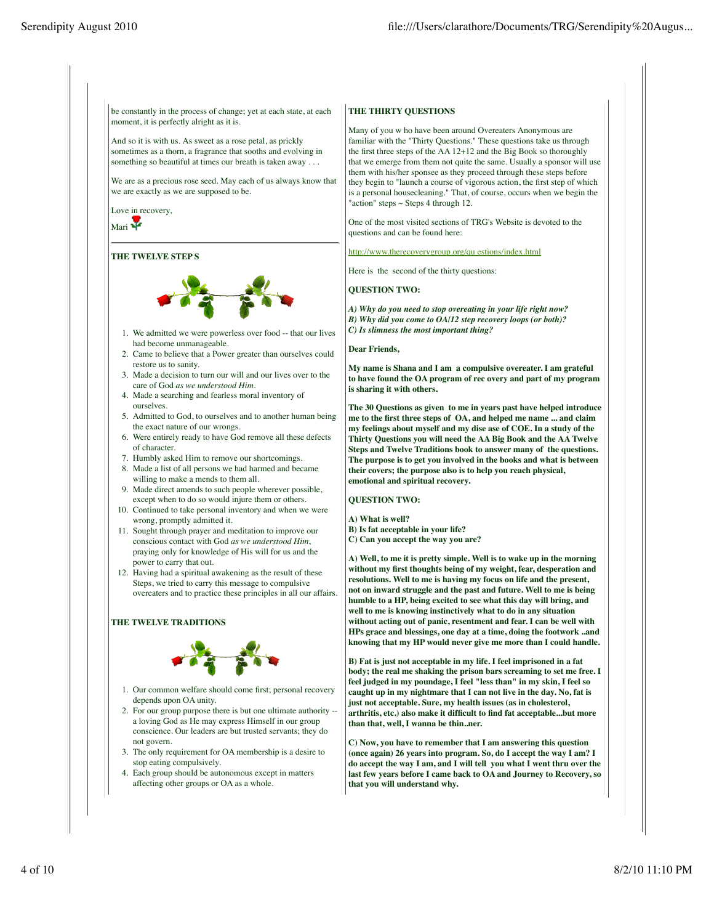be constantly in the process of change; yet at each state, at each moment, it is perfectly alright as it is.

And so it is with us. As sweet as a rose petal, as prickly sometimes as a thorn, a fragrance that sooths and evolving in something so beautiful at times our breath is taken away ...

We are as a precious rose seed. May each of us always know that we are exactly as we are supposed to be.

Love in recovery,

Mari 1

#### **THE TWELVE STEP S**



- We admitted we were powerless over food -- that our lives 1. had become unmanageable.
- 2. Came to believe that a Power greater than ourselves could restore us to sanity.
- Made a decision to turn our will and our lives over to the 3. care of God *as we understood Him*.
- Made a searching and fearless moral inventory of 4. ourselves.
- Admitted to God, to ourselves and to another human being 5. the exact nature of our wrongs.
- Were entirely ready to have God remove all these defects 6. of character.
- 7. Humbly asked Him to remove our shortcomings.
- Made a list of all persons we had harmed and became 8. willing to make a mends to them all.
- Made direct amends to such people wherever possible, 9. except when to do so would injure them or others.
- 10. Continued to take personal inventory and when we were wrong, promptly admitted it.
- 11. Sought through prayer and meditation to improve our conscious contact with God *as we understood Him*, praying only for knowledge of His will for us and the power to carry that out.
- 12. Having had a spiritual awakening as the result of these Steps, we tried to carry this message to compulsive overeaters and to practice these principles in all our affairs.

### **THE TWELVE TRADITIONS**



- 1. Our common welfare should come first; personal recovery depends upon OA unity.
- 2. For our group purpose there is but one ultimate authority -a loving God as He may express Himself in our group conscience. Our leaders are but trusted servants; they do not govern.
- 3. The only requirement for OA membership is a desire to stop eating compulsively.
- Each group should be autonomous except in matters 4. affecting other groups or OA as a whole.

# **THE THIRTY QUESTIONS**

Many of you w ho have been around Overeaters Anonymous are familiar with the "Thirty Questions." These questions take us through the first three steps of the AA 12+12 and the Big Book so thoroughly that we emerge from them not quite the same. Usually a sponsor will use them with his/her sponsee as they proceed through these steps before they begin to "launch a course of vigorous action, the first step of which is a personal housecleaning." That, of course, occurs when we begin the "action" steps  $\sim$  Steps 4 through 12.

One of the most visited sections of TRG's Website is devoted to the questions and can be found here:

http://www.therecoverygroup.org/qu estions/index.html

Here is the second of the thirty questions:

# **QUESTION TWO:**

*A) Why do you need to stop overeating in your life right now? B) Why did you come to OA/12 step recovery loops (or both)? C) Is slimness the most important thing?*

#### **Dear Friends,**

**My name is Shana and I am a compulsive overeater. I am grateful to have found the OA program of rec overy and part of my program is sharing it with others.**

**The 30 Questions as given to me in years past have helped introduce me to the first three steps of OA, and helped me name ... and claim my feelings about myself and my dise ase of COE. In a study of the Thirty Questions you will need the AA Big Book and the AA Twelve Steps and Twelve Traditions book to answer many of the questions. The purpose is to get you involved in the books and what is between their covers; the purpose also is to help you reach physical, emotional and spiritual recovery.**

#### **QUESTION TWO:**

**A) What is well?**

- **B) Is fat acceptable in your life?**
- **C) Can you accept the way you are?**

**A) Well, to me it is pretty simple. Well is to wake up in the morning without my first thoughts being of my weight, fear, desperation and resolutions. Well to me is having my focus on life and the present, not on inward struggle and the past and future. Well to me is being humble to a HP, being excited to see what this day will bring, and well to me is knowing instinctively what to do in any situation without acting out of panic, resentment and fear. I can be well with HPs grace and blessings, one day at a time, doing the footwork ..and knowing that my HP would never give me more than I could handle.**

**B) Fat is just not acceptable in my life. I feel imprisoned in a fat body; the real me shaking the prison bars screaming to set me free. I feel judged in my poundage, I feel "less than" in my skin, I feel so caught up in my nightmare that I can not live in the day. No, fat is just not acceptable. Sure, my health issues (as in cholesterol, arthritis, etc.) also make it difficult to find fat acceptable...but more than that, well, I wanna be thin..ner.**

**C) Now, you have to remember that I am answering this question (once again) 26 years into program. So, do I accept the way I am? I do accept the way I am, and I will tell you what I went thru over the last few years before I came back to OA and Journey to Recovery, so that you will understand why.**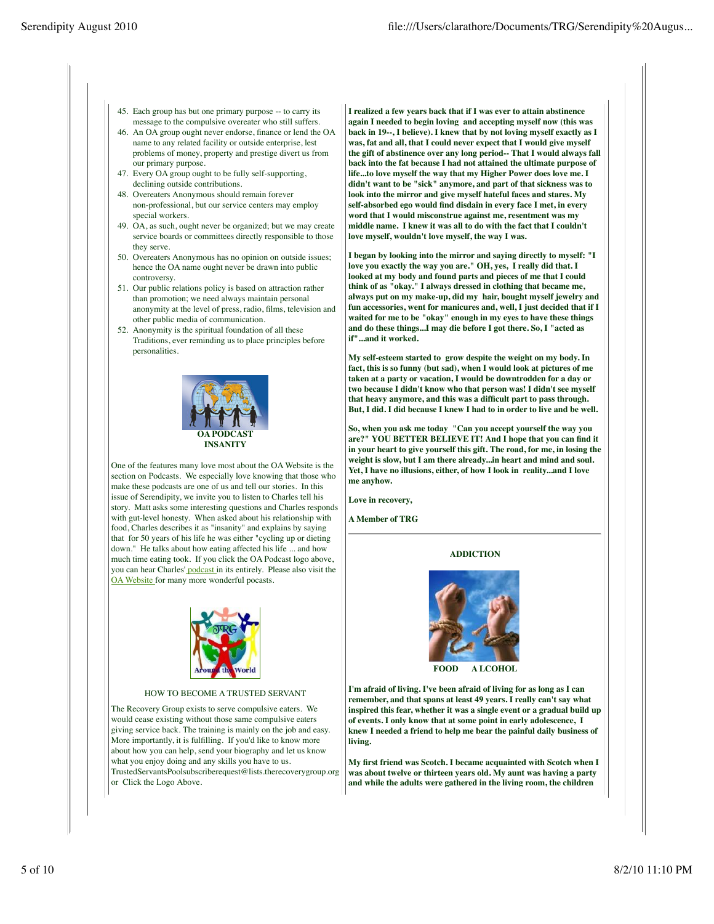- 45. Each group has but one primary purpose -- to carry its message to the compulsive overeater who still suffers.
- An OA group ought never endorse, finance or lend the OA 46. name to any related facility or outside enterprise, lest problems of money, property and prestige divert us from our primary purpose.
- Every OA group ought to be fully self-supporting, 47. declining outside contributions.
- 48. Overeaters Anonymous should remain forever non-professional, but our service centers may employ special workers.
- OA, as such, ought never be organized; but we may create 49. service boards or committees directly responsible to those they serve.
- 50. Overeaters Anonymous has no opinion on outside issues; hence the OA name ought never be drawn into public controversy.
- 51. Our public relations policy is based on attraction rather than promotion; we need always maintain personal anonymity at the level of press, radio, films, television and other public media of communication.
- 52. Anonymity is the spiritual foundation of all these Traditions, ever reminding us to place principles before personalities.



One of the features many love most about the OA Website is the section on Podcasts. We especially love knowing that those who make these podcasts are one of us and tell our stories. In this issue of Serendipity, we invite you to listen to Charles tell his story. Matt asks some interesting questions and Charles responds with gut-level honesty. When asked about his relationship with food, Charles describes it as "insanity" and explains by saying that for 50 years of his life he was either "cycling up or dieting down." He talks about how eating affected his life ... and how much time eating took. If you click the OA Podcast logo above, you can hear Charles' podcast in its entirely. Please also visit the OA Website for many more wonderful pocasts.



#### HOW TO BECOME A TRUSTED SERVANT

The Recovery Group exists to serve compulsive eaters. We would cease existing without those same compulsive eaters giving service back. The training is mainly on the job and easy. More importantly, it is fulfilling. If you'd like to know more about how you can help, send your biography and let us know what you enjoy doing and any skills you have to us. TrustedServantsPoolsubscriberequest@lists.therecoverygroup.org or Click the Logo Above.

**I realized a few years back that if I was ever to attain abstinence again I needed to begin loving and accepting myself now (this was back in 19--, I believe). I knew that by not loving myself exactly as I was, fat and all, that I could never expect that I would give myself the gift of abstinence over any long period-- That I would always fall back into the fat because I had not attained the ultimate purpose of life...to love myself the way that my Higher Power does love me. I didn't want to be "sick" anymore, and part of that sickness was to look into the mirror and give myself hateful faces and stares. My self-absorbed ego would find disdain in every face I met, in every word that I would misconstrue against me, resentment was my middle name. I knew it was all to do with the fact that I couldn't love myself, wouldn't love myself, the way I was.**

**I began by looking into the mirror and saying directly to myself: "I love you exactly the way you are." OH, yes, I really did that. I looked at my body and found parts and pieces of me that I could think of as "okay." I always dressed in clothing that became me, always put on my make-up, did my hair, bought myself jewelry and fun accessories, went for manicures and, well, I just decided that if I waited for me to be "okay" enough in my eyes to have these things and do these things...I may die before I got there. So, I "acted as if"...and it worked.**

**My self-esteem started to grow despite the weight on my body. In fact, this is so funny (but sad), when I would look at pictures of me taken at a party or vacation, I would be downtrodden for a day or two because I didn't know who that person was! I didn't see myself that heavy anymore, and this was a difficult part to pass through. But, I did. I did because I knew I had to in order to live and be well.**

**So, when you ask me today "Can you accept yourself the way you are?" YOU BETTER BELIEVE IT! And I hope that you can find it in your heart to give yourself this gift. The road, for me, in losing the weight is slow, but I am there already...in heart and mind and soul. Yet, I have no illusions, either, of how I look in reality...and I love me anyhow.**

**Love in recovery,**

**A Member of TRG**

#### **ADDICTION**



**FOOD A LCOHOL**

**I'm afraid of living. I've been afraid of living for as long as I can remember, and that spans at least 49 years. I really can't say what inspired this fear, whether it was a single event or a gradual build up of events. I only know that at some point in early adolescence, I knew I needed a friend to help me bear the painful daily business of living.**

**My first friend was Scotch. I became acquainted with Scotch when I was about twelve or thirteen years old. My aunt was having a party and while the adults were gathered in the living room, the children**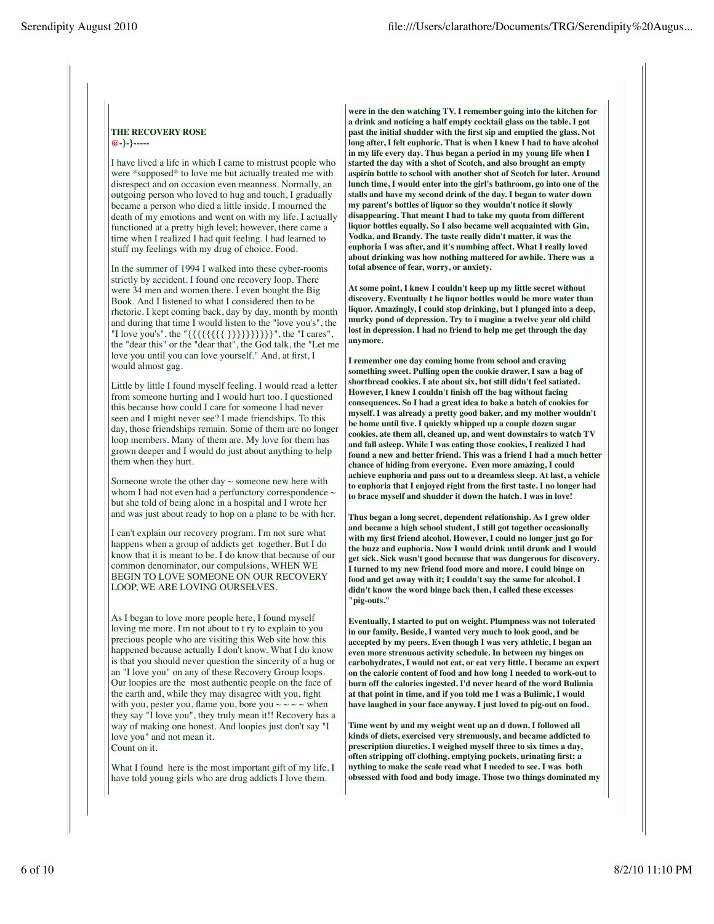# **THE RECOVERY ROSE**

**@-}-}-----**

I have lived a life in which I came to mistrust people who were \*supposed\* to love me but actually treated me with disrespect and on occasion even meanness. Normally, an outgoing person who loved to hug and touch, I gradually became a person who died a little inside. I mourned the death of my emotions and went on with my life. I actually functioned at a pretty high level; however, there came a time when I realized I had quit feeling. I had learned to stuff my feelings with my drug of choice. Food.

In the summer of 1994 I walked into these cyber-rooms strictly by accident. I found one recovery loop. There were 34 men and women there. I even bought the Big Book. And I listened to what I considered then to be rhetoric. I kept coming back, day by day, month by month and during that time I would listen to the "love you's", the "I love you's", the "{{{{{{{{ }}}}}}}}}}", the "I cares", the "dear this" or the "dear that", the God talk, the "Let me love you until you can love yourself." And, at first, I would almost gag.

Little by little I found myself feeling. I would read a letter from someone hurting and I would hurt too. I questioned this because how could I care for someone I had never seen and I might never see? I made friendships. To this day, those friendships remain. Some of them are no longer loop members. Many of them are. My love for them has grown deeper and I would do just about anything to help them when they hurt.

Someone wrote the other day  $\sim$  someone new here with whom I had not even had a perfunctory correspondence  $\sim$ but she told of being alone in a hospital and I wrote her and was just about ready to hop on a plane to be with her.

I can't explain our recovery program. I'm not sure what happens when a group of addicts get together. But I do know that it is meant to be. I do know that because of our common denominator, our compulsions, WHEN WE BEGIN TO LOVE SOMEONE ON OUR RECOVERY LOOP, WE ARE LOVING OURSELVES.

As I began to love more people here, I found myself loving me more. I'm not about to t ry to explain to you precious people who are visiting this Web site how this happened because actually I don't know. What I do know is that you should never question the sincerity of a hug or an "I love you" on any of these Recovery Group loops. Our loopies are the most authentic people on the face of the earth and, while they may disagree with you, fight with you, pester you, flame you, bore you  $\sim \sim \sim$  when they say "I love you", they truly mean it!! Recovery has a way of making one honest. And loopies just don't say "I love you" and not mean it. Count on it.

What I found here is the most important gift of my life. I have told young girls who are drug addicts I love them.

**were in the den watching TV. I remember going into the kitchen for a drink and noticing a half empty cocktail glass on the table. I got past the initial shudder with the first sip and emptied the glass. Not long after, I felt euphoric. That is when I knew I had to have alcohol in my life every day. Thus began a period in my young life when I started the day with a shot of Scotch, and also brought an empty aspirin bottle to school with another shot of Scotch for later. Around lunch time, I would enter into the girl's bathroom, go into one of the stalls and have my second drink of the day. I began to water down my parent's bottles of liquor so they wouldn't notice it slowly disappearing. That meant I had to take my quota from different liquor bottles equally. So I also became well acquainted with Gin, Vodka, and Brandy. The taste really didn't matter, it was the euphoria I was after, and it's numbing affect. What I really loved about drinking was how nothing mattered for awhile. There was a total absence of fear, worry, or anxiety.**

**At some point, I knew I couldn't keep up my little secret without discovery. Eventually t he liquor bottles would be more water than liquor. Amazingly, I could stop drinking, but I plunged into a deep, murky pond of depression. Try to i magine a twelve year old child lost in depression. I had no friend to help me get through the day anymore.**

**I remember one day coming home from school and craving something sweet. Pulling open the cookie drawer, I saw a bag of shortbread cookies. I ate about six, but still didn't feel satiated. However, I knew I couldn't finish off the bag without facing consequences. So I had a great idea to bake a batch of cookies for myself. I was already a pretty good baker, and my mother wouldn't be home until five. I quickly whipped up a couple dozen sugar cookies, ate them all, cleaned up, and went downstairs to watch TV and fall asleep. While I was eating those cookies, I realized I had found a new and better friend. This was a friend I had a much better chance of hiding from everyone. Even more amazing, I could achieve euphoria and pass out to a dreamless sleep. At last, a vehicle to euphoria that I enjoyed right from the first taste. I no longer had to brace myself and shudder it down the hatch. I was in love!**

**Thus began a long secret, dependent relationship. As I grew older and became a high school student, I still got together occasionally with my first friend alcohol. However, I could no longer just go for the buzz and euphoria. Now I would drink until drunk and I would get sick. Sick wasn't good because that was dangerous for discovery. I turned to my new friend food more and more. I could binge on food and get away with it; I couldn't say the same for alcohol. I didn't know the word binge back then, I called these excesses "pig-outs."**

**Eventually, I started to put on weight. Plumpness was not tolerated in our family. Beside, I wanted very much to look good, and be accepted by my peers. Even though I was very athletic, I began an even more strenuous activity schedule. In between my binges on carbohydrates, I would not eat, or eat very little. I became an expert on the calorie content of food and how long I needed to work-out to burn off the calories ingested. I'd never heard of the word Bulimia at that point in time, and if you told me I was a Bulimic, I would have laughed in your face anyway. I just loved to pig-out on food.**

**Time went by and my weight went up an d down. I followed all kinds of diets, exercised very strenuously, and became addicted to prescription diuretics. I weighed myself three to six times a day, often stripping off clothing, emptying pockets, urinating first; a nything to make the scale read what I needed to see. I was both obsessed with food and body image. Those two things dominated my**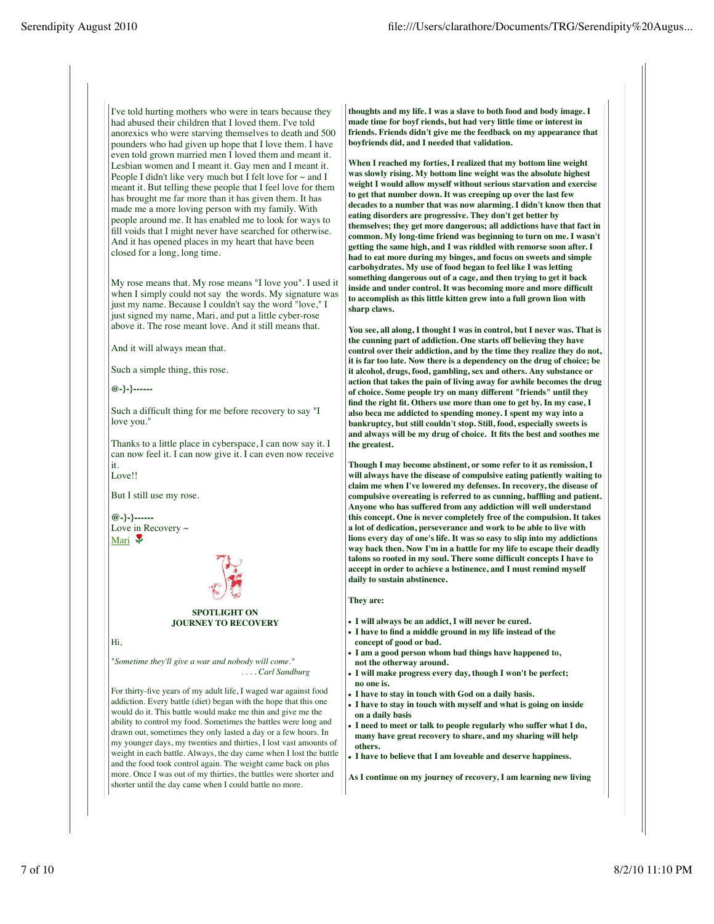I've told hurting mothers who were in tears because they had abused their children that I loved them. I've told anorexics who were starving themselves to death and 500 pounders who had given up hope that I love them. I have even told grown married men I loved them and meant it. Lesbian women and I meant it. Gay men and I meant it. People I didn't like very much but I felt love for  $\sim$  and I meant it. But telling these people that I feel love for them has brought me far more than it has given them. It has made me a more loving person with my family. With people around me. It has enabled me to look for ways to fill voids that I might never have searched for otherwise. And it has opened places in my heart that have been closed for a long, long time.

My rose means that. My rose means "I love you". I used it when I simply could not say the words. My signature was just my name. Because I couldn't say the word "love," I just signed my name, Mari, and put a little cyber-rose above it. The rose meant love. And it still means that.

And it will always mean that.

Such a simple thing, this rose.

**@-}-}------**

Such a difficult thing for me before recovery to say "I love you."

Thanks to a little place in cyberspace, I can now say it. I can now feel it. I can now give it. I can even now receive it.

Love!!

But I still use my rose.

**@-}-}------** Love in Recovery  $\sim$ Mari ¥



## **SPOTLIGHT ON JOURNEY TO RECOVERY**

Hi,

"*Sometime they'll give a war and nobody will come." . . . . Carl Sandburg*

For thirty-five years of my adult life, I waged war against food addiction. Every battle (diet) began with the hope that this one would do it. This battle would make me thin and give me the ability to control my food. Sometimes the battles were long and drawn out, sometimes they only lasted a day or a few hours. In my younger days, my twenties and thirties, I lost vast amounts of weight in each battle. Always, the day came when I lost the battle and the food took control again. The weight came back on plus more. Once I was out of my thirties, the battles were shorter and shorter until the day came when I could battle no more.

**thoughts and my life. I was a slave to both food and body image. I made time for boyf riends, but had very little time or interest in friends. Friends didn't give me the feedback on my appearance that boyfriends did, and I needed that validation.**

**When I reached my forties, I realized that my bottom line weight was slowly rising. My bottom line weight was the absolute highest weight I would allow myself without serious starvation and exercise to get that number down. It was creeping up over the last few decades to a number that was now alarming. I didn't know then that eating disorders are progressive. They don't get better by themselves; they get more dangerous; all addictions have that fact in common. My long-time friend was beginning to turn on me. I wasn't getting the same high, and I was riddled with remorse soon after. I had to eat more during my binges, and focus on sweets and simple carbohydrates. My use of food began to feel like I was letting something dangerous out of a cage, and then trying to get it back inside and under control. It was becoming more and more difficult to accomplish as this little kitten grew into a full grown lion with sharp claws.**

**You see, all along, I thought I was in control, but I never was. That is the cunning part of addiction. One starts off believing they have control over their addiction, and by the time they realize they do not, it is far too late. Now there is a dependency on the drug of choice; be it alcohol, drugs, food, gambling, sex and others. Any substance or action that takes the pain of living away for awhile becomes the drug of choice. Some people try on many different "friends" until they find the right fit. Others use more than one to get by. In my case, I also beca me addicted to spending money. I spent my way into a bankruptcy, but still couldn't stop. Still, food, especially sweets is and always will be my drug of choice. It fits the best and soothes me the greatest.**

**Though I may become abstinent, or some refer to it as remission, I will always have the disease of compulsive eating patiently waiting to claim me when I've lowered my defenses. In recovery, the disease of compulsive overeating is referred to as cunning, baffling and patient. Anyone who has suffered from any addiction will well understand this concept. One is never completely free of the compulsion. It takes a lot of dedication, perseverance and work to be able to live with lions every day of one's life. It was so easy to slip into my addictions way back then. Now I'm in a battle for my life to escape their deadly talons so rooted in my soul. There some difficult concepts I have to accept in order to achieve a bstinence, and I must remind myself daily to sustain abstinence.**

**They are:**

- **I will always be an addict, I will never be cured.**
- **I have to find a middle ground in my life instead of the concept of good or bad.**
- **I am a good person whom bad things have happened to, not the otherway around.**
- **I will make progress every day, though I won't be perfect; no one is.**
- **I have to stay in touch with God on a daily basis.**
- **I have to stay in touch with myself and what is going on inside on a daily basis**
- **I need to meet or talk to people regularly who suffer what I do, many have great recovery to share, and my sharing will help others.**
- **I have to believe that I am loveable and deserve happiness.**

**As I continue on my journey of recovery, I am learning new living**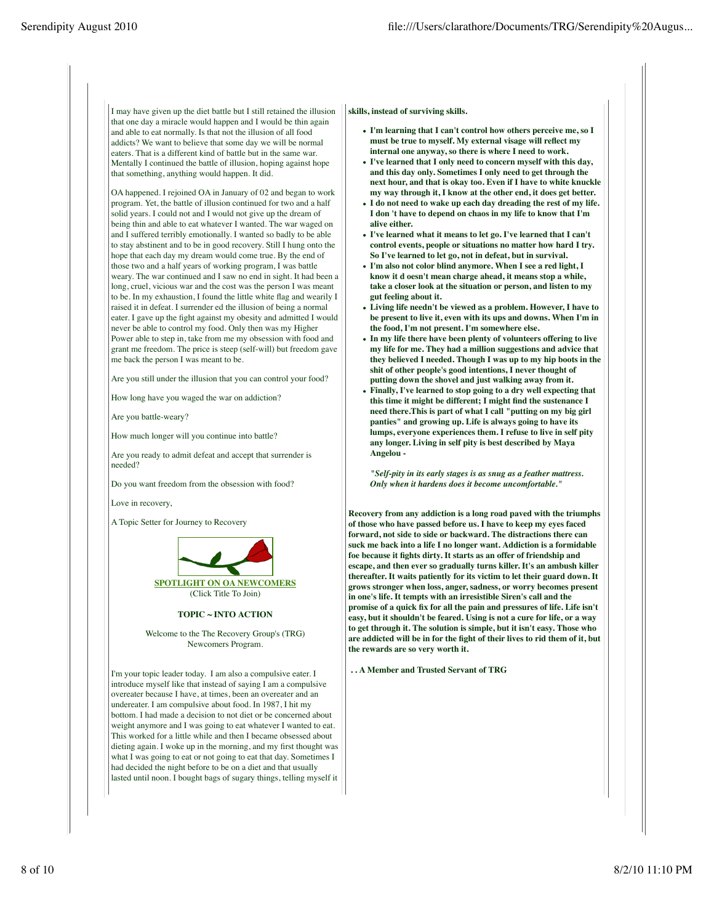I may have given up the diet battle but I still retained the illusion that one day a miracle would happen and I would be thin again and able to eat normally. Is that not the illusion of all food addicts? We want to believe that some day we will be normal eaters. That is a different kind of battle but in the same war. Mentally I continued the battle of illusion, hoping against hope that something, anything would happen. It did.

OA happened. I rejoined OA in January of 02 and began to work program. Yet, the battle of illusion continued for two and a half solid years. I could not and I would not give up the dream of being thin and able to eat whatever I wanted. The war waged on and I suffered terribly emotionally. I wanted so badly to be able to stay abstinent and to be in good recovery. Still I hung onto the hope that each day my dream would come true. By the end of those two and a half years of working program, I was battle weary. The war continued and I saw no end in sight. It had been a long, cruel, vicious war and the cost was the person I was meant to be. In my exhaustion, I found the little white flag and wearily I raised it in defeat. I surrender ed the illusion of being a normal eater. I gave up the fight against my obesity and admitted I would never be able to control my food. Only then was my Higher Power able to step in, take from me my obsession with food and grant me freedom. The price is steep (self-will) but freedom gave me back the person I was meant to be.

Are you still under the illusion that you can control your food?

How long have you waged the war on addiction?

Are you battle-weary?

How much longer will you continue into battle?

Are you ready to admit defeat and accept that surrender is needed?

Do you want freedom from the obsession with food?

Love in recovery

A Topic Setter for Journey to Recovery



#### **TOPIC ~ INTO ACTION**

Welcome to the The Recovery Group's (TRG) Newcomers Program.

I'm your topic leader today. I am also a compulsive eater. I introduce myself like that instead of saying I am a compulsive overeater because I have, at times, been an overeater and an undereater. I am compulsive about food. In 1987, I hit my bottom. I had made a decision to not diet or be concerned about weight anymore and I was going to eat whatever I wanted to eat. This worked for a little while and then I became obsessed about dieting again. I woke up in the morning, and my first thought was what I was going to eat or not going to eat that day. Sometimes I had decided the night before to be on a diet and that usually lasted until noon. I bought bags of sugary things, telling myself it **skills, instead of surviving skills.**

- **I'm learning that I can't control how others perceive me, so I must be true to myself. My external visage will reflect my internal one anyway, so there is where I need to work.**
- **I've learned that I only need to concern myself with this day, and this day only. Sometimes I only need to get through the next hour, and that is okay too. Even if I have to white knuckle my way through it, I know at the other end, it does get better.**
- **I do not need to wake up each day dreading the rest of my life. I don 't have to depend on chaos in my life to know that I'm alive either.**
- **I've learned what it means to let go. I've learned that I can't control events, people or situations no matter how hard I try. So I've learned to let go, not in defeat, but in survival.**
- **I'm also not color blind anymore. When I see a red light, I know it d oesn't mean charge ahead, it means stop a while, take a closer look at the situation or person, and listen to my gut feeling about it.**
- **Living life needn't be viewed as a problem. However, I have to be present to live it, even with its ups and downs. When I'm in the food, I'm not present. I'm somewhere else.**
- **In my life there have been plenty of volunteers offering to live my life for me. They had a million suggestions and advice that they believed I needed. Though I was up to my hip boots in the shit of other people's good intentions, I never thought of putting down the shovel and just walking away from it.**
- **Finally, I've learned to stop going to a dry well expecting that this time it might be different; I might find the sustenance I need there.This is part of what I call "putting on my big girl panties" and growing up. Life is always going to have its lumps, everyone experiences them. I refuse to live in self pity any longer. Living in self pity is best described by Maya Angelou -**

*"Self-pity in its early stages is as snug as a feather mattress. Only when it hardens does it become uncomfortable."*

**Recovery from any addiction is a long road paved with the triumphs of those who have passed before us. I have to keep my eyes faced forward, not side to side or backward. The distractions there can suck me back into a life I no longer want. Addiction is a formidable foe because it fights dirty. It starts as an offer of friendship and escape, and then ever so gradually turns killer. It's an ambush killer thereafter. It waits patiently for its victim to let their guard down. It grows stronger when loss, anger, sadness, or worry becomes present in one's life. It tempts with an irresistible Siren's call and the promise of a quick fix for all the pain and pressures of life. Life isn't easy, but it shouldn't be feared. Using is not a cure for life, or a way to get through it. The solution is simple, but it isn't easy. Those who are addicted will be in for the fight of their lives to rid them of it, but the rewards are so very worth it.**

 **. . A Member and Trusted Servant of TRG**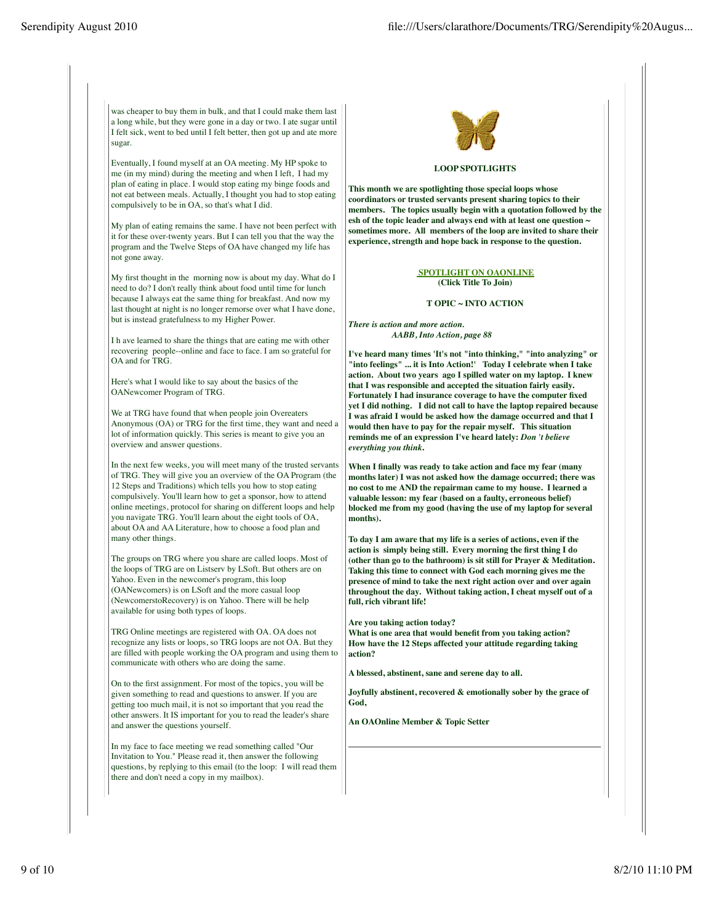was cheaper to buy them in bulk, and that I could make them last a long while, but they were gone in a day or two. I ate sugar until I felt sick, went to bed until I felt better, then got up and ate more sugar.

Eventually, I found myself at an OA meeting. My HP spoke to me (in my mind) during the meeting and when I left, I had my plan of eating in place. I would stop eating my binge foods and not eat between meals. Actually, I thought you had to stop eating compulsively to be in OA, so that's what I did.

My plan of eating remains the same. I have not been perfect with it for these over-twenty years. But I can tell you that the way the program and the Twelve Steps of OA have changed my life has not gone away.

My first thought in the morning now is about my day. What do I need to do? I don't really think about food until time for lunch because I always eat the same thing for breakfast. And now my last thought at night is no longer remorse over what I have done, but is instead gratefulness to my Higher Power.

I h ave learned to share the things that are eating me with other recovering people--online and face to face. I am so grateful for OA and for TRG.

Here's what I would like to say about the basics of the OANewcomer Program of TRG.

We at TRG have found that when people join Overeaters Anonymous (OA) or TRG for the first time, they want and need a lot of information quickly. This series is meant to give you an overview and answer questions.

In the next few weeks, you will meet many of the trusted servants of TRG. They will give you an overview of the OA Program (the 12 Steps and Traditions) which tells you how to stop eating compulsively. You'll learn how to get a sponsor, how to attend online meetings, protocol for sharing on different loops and help you navigate TRG. You'll learn about the eight tools of OA, about OA and AA Literature, how to choose a food plan and many other things.

The groups on TRG where you share are called loops. Most of the loops of TRG are on Listserv by LSoft. But others are on Yahoo. Even in the newcomer's program, this loop (OANewcomers) is on LSoft and the more casual loop (NewcomerstoRecovery) is on Yahoo. There will be help available for using both types of loops.

TRG Online meetings are registered with OA. OA does not recognize any lists or loops, so TRG loops are not OA. But they are filled with people working the OA program and using them to communicate with others who are doing the same.

On to the first assignment. For most of the topics, you will be given something to read and questions to answer. If you are getting too much mail, it is not so important that you read the other answers. It IS important for you to read the leader's share and answer the questions yourself.

In my face to face meeting we read something called "Our Invitation to You." Please read it, then answer the following questions, by replying to this email (to the loop: I will read them there and don't need a copy in my mailbox).



#### **LOOP SPOTLIGHTS**

**This month we are spotlighting those special loops whose coordinators or trusted servants present sharing topics to their members. The topics usually begin with a quotation followed by the esh of the topic leader and always end with at least one question ~ sometimes more. All members of the loop are invited to share their experience, strength and hope back in response to the question.**

### **SPOTLIGHT ON OAONLINE (Click Title To Join)**

# **T OPIC ~ INTO ACTION**

*There is action and more action.* *AABB, Into Action, page 88*

**I've heard many times 'It's not "into thinking," "into analyzing" or "into feelings" ... it is Into Action!' Today I celebrate when I take action. About two years ago I spilled water on my laptop. I knew that I was responsible and accepted the situation fairly easily. Fortunately I had insurance coverage to have the computer fixed yet I did nothing. I did not call to have the laptop repaired because I was afraid I would be asked how the damage occurred and that I would then have to pay for the repair myself. This situation reminds me of an expression I've heard lately:** *Don 't believe everything you think***.** 

**When I finally was ready to take action and face my fear (many months later) I was not asked how the damage occurred; there was no cost to me AND the repairman came to my house. I learned a valuable lesson: my fear (based on a faulty, erroneous belief) blocked me from my good (having the use of my laptop for several months).** 

**To day I am aware that my life is a series of actions, even if the action is simply being still. Every morning the first thing I do (other than go to the bathroom) is sit still for Prayer & Meditation. Taking this time to connect with God each morning gives me the presence of mind to take the next right action over and over again throughout the day. Without taking action, I cheat myself out of a full, rich vibrant life!**

**Are you taking action today?**

**What is one area that would benefit from you taking action? How have the 12 Steps affected your attitude regarding taking action?** 

**A blessed, abstinent, sane and serene day to all.**

**Joyfully abstinent, recovered & emotionally sober by the grace of God,**

**An OAOnline Member & Topic Setter**